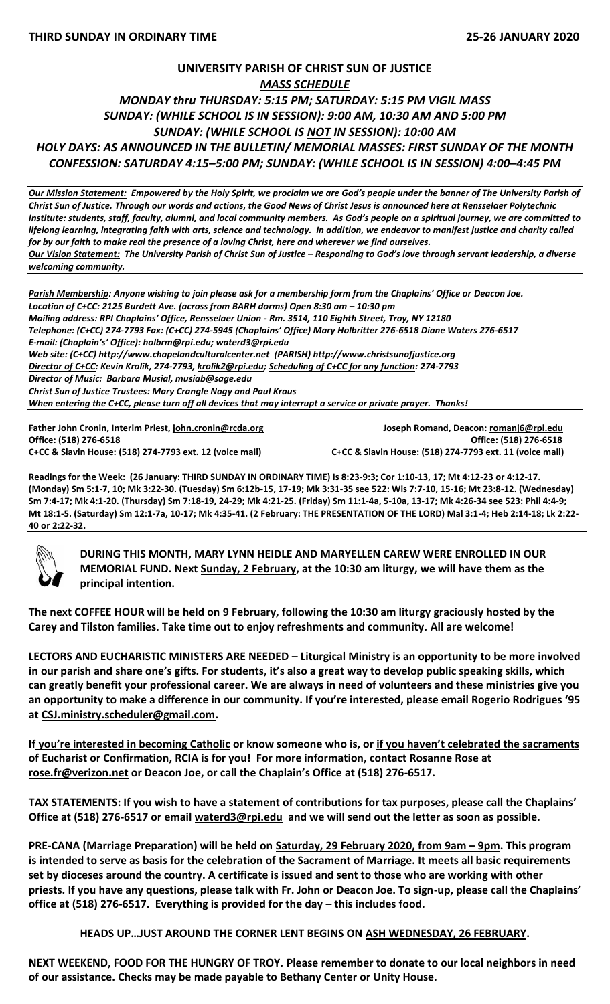# **UNIVERSITY PARISH OF CHRIST SUN OF JUSTICE** *MASS SCHEDULE MONDAY thru THURSDAY: 5:15 PM; SATURDAY: 5:15 PM VIGIL MASS SUNDAY: (WHILE SCHOOL IS IN SESSION): 9:00 AM, 10:30 AM AND 5:00 PM SUNDAY: (WHILE SCHOOL IS NOT IN SESSION): 10:00 AM HOLY DAYS: AS ANNOUNCED IN THE BULLETIN/ MEMORIAL MASSES: FIRST SUNDAY OF THE MONTH CONFESSION: SATURDAY 4:15–5:00 PM; SUNDAY: (WHILE SCHOOL IS IN SESSION) 4:00–4:45 PM*

*Our Mission Statement:**Empowered by the Holy Spirit, we proclaim we are God's people under the banner of The University Parish of Christ Sun of Justice. Through our words and actions, the Good News of Christ Jesus is announced here at Rensselaer Polytechnic Institute: students, staff, faculty, alumni, and local community members. As God's people on a spiritual journey, we are committed to lifelong learning, integrating faith with arts, science and technology. In addition, we endeavor to manifest justice and charity called for by our faith to make real the presence of a loving Christ, here and wherever we find ourselves. Our Vision Statement: The University Parish of Christ Sun of Justice – Responding to God's love through servant leadership, a diverse welcoming community.*

*Parish Membership: Anyone wishing to join please ask for a membership form from the Chaplains' Office or Deacon Joe. Location of C+CC: 2125 Burdett Ave. (across from BARH dorms) Open 8:30 am – 10:30 pm Mailing address: RPI Chaplains' Office, Rensselaer Union - Rm. 3514, 110 Eighth Street, Troy, NY 12180 Telephone: (C+CC) 274-7793 Fax: (C+CC) 274-5945 (Chaplains' Office) Mary Holbritter 276-6518 Diane Waters 276-6517 E-mail: (Chaplain's' Office): [holbrm@rpi.edu;](mailto:holbrm@rpi.edu) waterd3@rpi.edu Web site: (C+CC) [http://www.chapelandculturalcenter.net](http://www.chapelandculturalcenter.net/) (PARISH) http://www.christsunofjustice.org Director of C+CC: Kevin Krolik, 274-7793, krolik2@rpi.edu; Scheduling of C+CC for any function: 274-7793 Director of Music: Barbara Musial, [musiab@sage.edu](mailto:musiab@sage.edu) Christ Sun of Justice Trustees: Mary Crangle Nagy and Paul Kraus When entering the C+CC, please turn off all devices that may interrupt a service or private prayer. Thanks!* 

**Office: (518) 276-6518 Office: (518) 276-6518 C+CC & Slavin House: (518) 274-7793 ext. 12 (voice mail) C+CC & Slavin House: (518) 274-7793 ext. 11 (voice mail)**

**Father John Cronin, Interim Priest[, john.cronin@rcda.org](mailto:john.cronin@rcda.org) Joseph Romand, Deacon: [romanj6@rpi.edu](mailto:romanj6@rpi.edu)**

**Readings for the Week: (26 January: THIRD SUNDAY IN ORDINARY TIME) Is 8:23-9:3; Cor 1:10-13, 17; Mt 4:12-23 or 4:12-17. (Monday) Sm 5:1-7, 10; Mk 3:22-30. (Tuesday) Sm 6:12b-15, 17-19; Mk 3:31-35 see 522: Wis 7:7-10, 15-16; Mt 23:8-12. (Wednesday) Sm 7:4-17; Mk 4:1-20. (Thursday) Sm 7:18-19, 24-29; Mk 4:21-25. (Friday) Sm 11:1-4a, 5-10a, 13-17; Mk 4:26-34 see 523: Phil 4:4-9; Mt 18:1-5. (Saturday) Sm 12:1-7a, 10-17; Mk 4:35-41. (2 February: THE PRESENTATION OF THE LORD) Mal 3:1-4; Heb 2:14-18; Lk 2:22- 40 or 2:22-32.**



**DURING THIS MONTH, MARY LYNN HEIDLE AND MARYELLEN CAREW WERE ENROLLED IN OUR MEMORIAL FUND. Next Sunday, 2 February, at the 10:30 am liturgy, we will have them as the principal intention.**

**The next COFFEE HOUR will be held on 9 February, following the 10:30 am liturgy graciously hosted by the Carey and Tilston families. Take time out to enjoy refreshments and community. All are welcome!**

**LECTORS AND EUCHARISTIC MINISTERS ARE NEEDED – Liturgical Ministry is an opportunity to be more involved in our parish and share one's gifts. For students, it's also a great way to develop public speaking skills, which can greatly benefit your professional career. We are always in need of volunteers and these ministries give you an opportunity to make a difference in our community. If you're interested, please email Rogerio Rodrigues '95 at [CSJ.ministry.scheduler@gmail.com.](mailto:CSJ.ministry.scheduler@gmail.com)**

**If you're interested in becoming Catholic or know someone who is, or if you haven't celebrated the sacraments of Eucharist or Confirmation, RCIA is for you! For more information, contact Rosanne Rose at [rose.fr@verizon.net](mailto:rose.fr@verizon.net) or Deacon Joe, or call the Chaplain's Office at (518) 276-6517.**

**TAX STATEMENTS: If you wish to have a statement of contributions for tax purposes, please call the Chaplains' Office at (518) 276-6517 or email [waterd3@rpi.edu](mailto:waterd3@rpi.edu) and we will send out the letter as soon as possible.** 

**PRE-CANA (Marriage Preparation) will be held on Saturday, 29 February 2020, from 9am - 9pm. This program is intended to serve as basis for the celebration of the Sacrament of Marriage. It meets all basic requirements set by dioceses around the country. A certificate is issued and sent to those who are working with other priests. If you have any questions, please talk with Fr. John or Deacon Joe. To sign-up, please call the Chaplains' office at (518) 276-6517. Everything is provided for the day – this includes food.** 

**HEADS UP…JUST AROUND THE CORNER LENT BEGINS ON ASH WEDNESDAY, 26 FEBRUARY.**

**NEXT WEEKEND, FOOD FOR THE HUNGRY OF TROY. Please remember to donate to our local neighbors in need of our assistance. Checks may be made payable to Bethany Center or Unity House.**